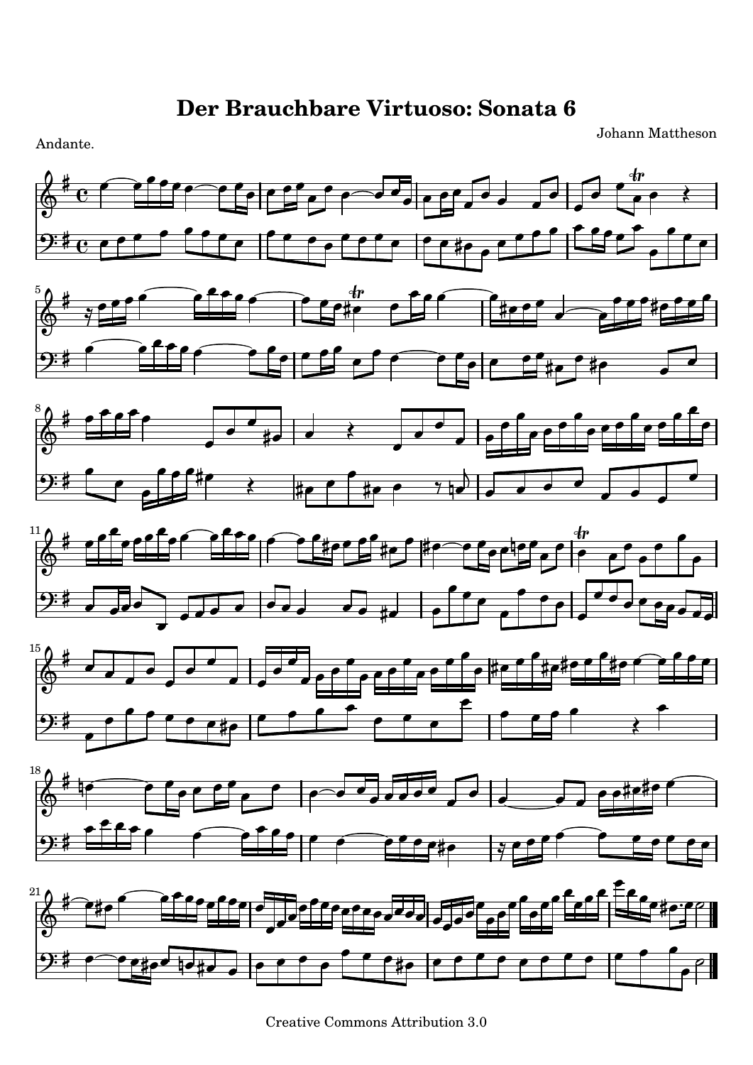Johann Mattheson



Creative Commons Attribution 3.0

Andante.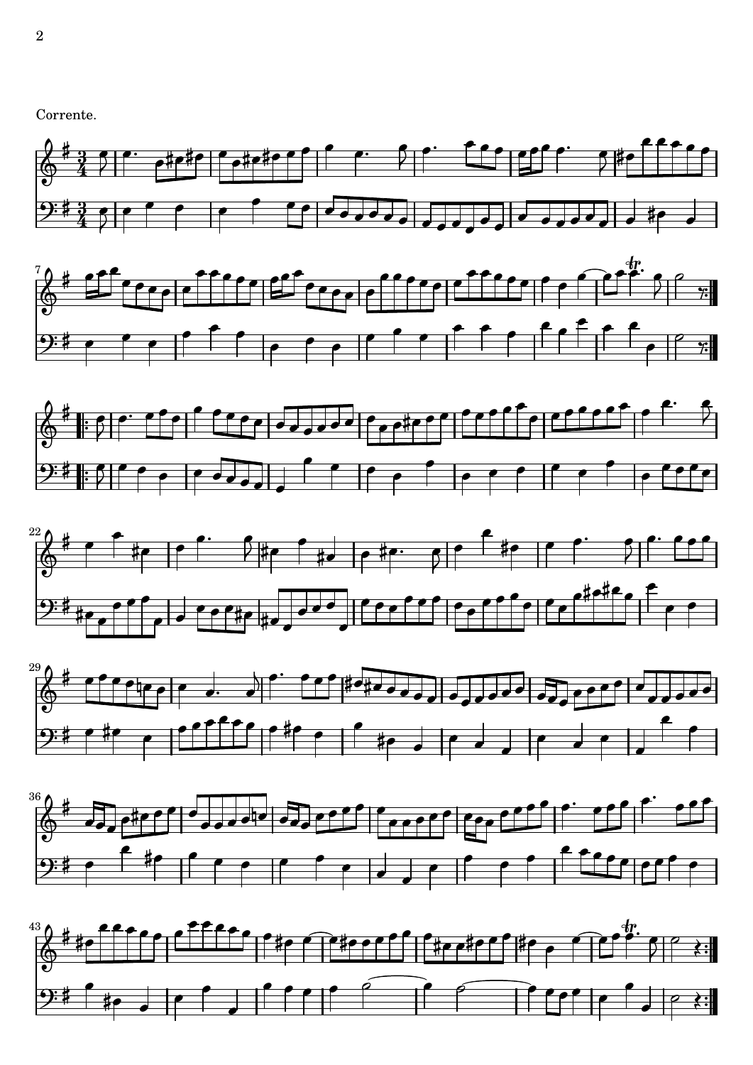Corrente.













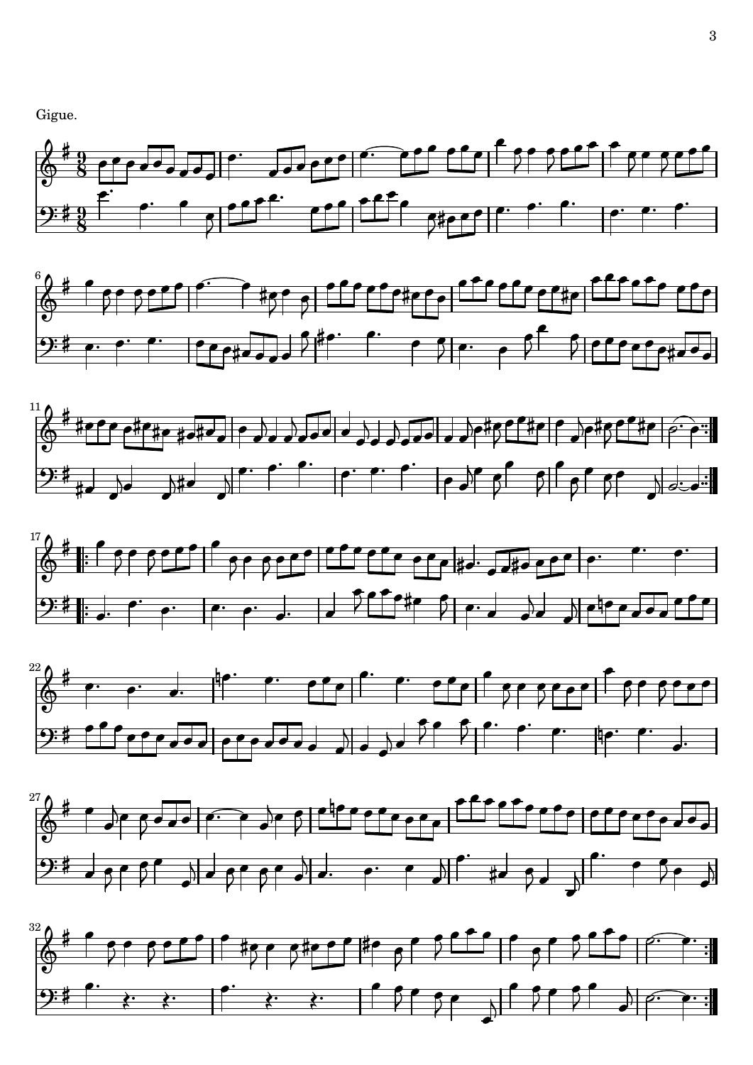Gigue.